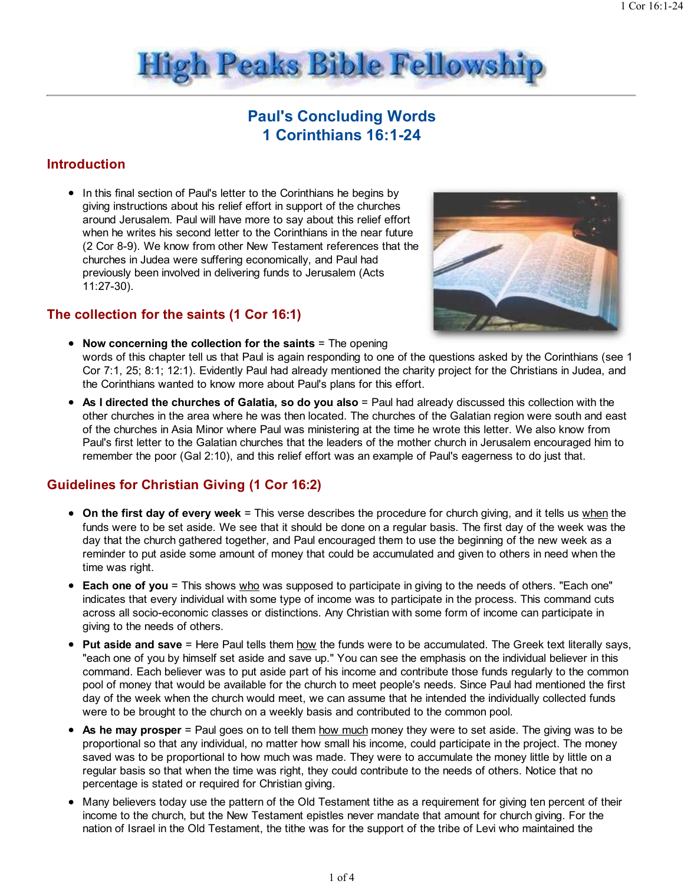

# Paul's Concluding Words 1 Corinthians 16:1-24

# Introduction

• In this final section of Paul's letter to the Corinthians he begins by giving instructions about his relief effort in support of the churches around Jerusalem. Paul will have more to say about this relief effort when he writes his second letter to the Corinthians in the near future (2 Cor 8-9). We know from other New Testament references that the churches in Judea were suffering economically, and Paul had previously been involved in delivering funds to Jerusalem (Acts 11:27-30).

## The collection for the saints (1 Cor 16:1)



- Now concerning the collection for the saints = The opening words of this chapter tell us that Paul is again responding to one of the questions asked by the Corinthians (see 1 Cor 7:1, 25; 8:1; 12:1). Evidently Paul had already mentioned the charity project for the Christians in Judea, and the Corinthians wanted to know more about Paul's plans for this effort.
- As I directed the churches of Galatia, so do you also = Paul had already discussed this collection with the other churches in the area where he was then located. The churches of the Galatian region were south and east of the churches in Asia Minor where Paul was ministering at the time he wrote this letter. We also know from Paul's first letter to the Galatian churches that the leaders of the mother church in Jerusalem encouraged him to remember the poor (Gal 2:10), and this relief effort was an example of Paul's eagerness to do just that.

# Guidelines for Christian Giving (1 Cor 16:2)

- On the first day of every week = This verse describes the procedure for church giving, and it tells us when the funds were to be set aside. We see that it should be done on a regular basis. The first day of the week was the day that the church gathered together, and Paul encouraged them to use the beginning of the new week as a reminder to put aside some amount of money that could be accumulated and given to others in need when the time was right.
- Each one of you = This shows who was supposed to participate in giving to the needs of others. "Each one" indicates that every individual with some type of income was to participate in the process. This command cuts across all socio-economic classes or distinctions. Any Christian with some form of income can participate in giving to the needs of others.
- Put aside and save = Here Paul tells them how the funds were to be accumulated. The Greek text literally says, "each one of you by himself set aside and save up." You can see the emphasis on the individual believer in this command. Each believer was to put aside part of his income and contribute those funds regularly to the common pool of money that would be available for the church to meet people's needs. Since Paul had mentioned the first day of the week when the church would meet, we can assume that he intended the individually collected funds were to be brought to the church on a weekly basis and contributed to the common pool.
- $\bullet$  As he may prosper = Paul goes on to tell them how much money they were to set aside. The giving was to be proportional so that any individual, no matter how small his income, could participate in the project. The money saved was to be proportional to how much was made. They were to accumulate the money little by little on a regular basis so that when the time was right, they could contribute to the needs of others. Notice that no percentage is stated or required for Christian giving.
- Many believers today use the pattern of the Old Testament tithe as a requirement for giving ten percent of their income to the church, but the New Testament epistles never mandate that amount for church giving. For the nation of Israel in the Old Testament, the tithe was for the support of the tribe of Levi who maintained the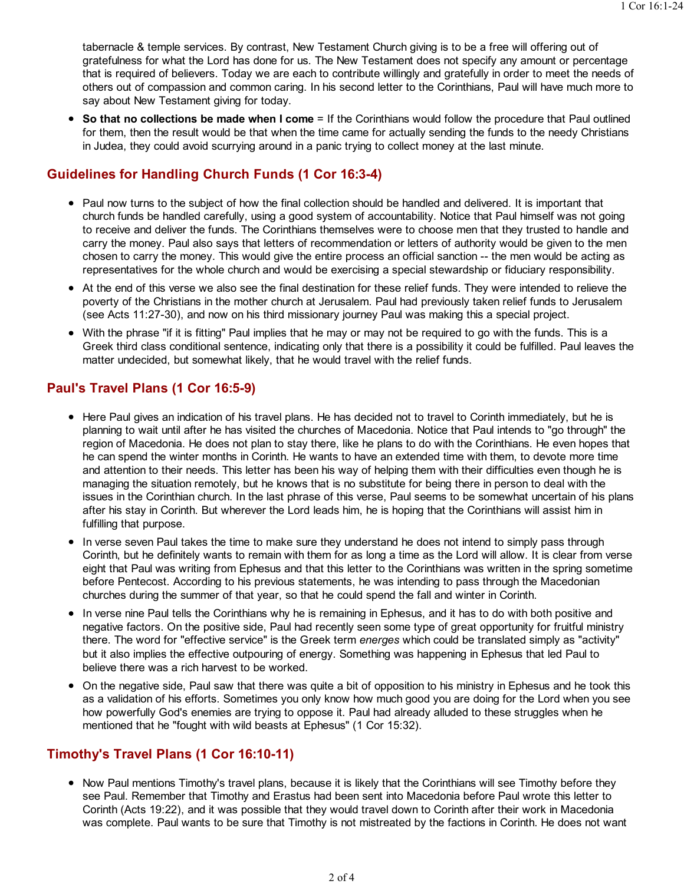tabernacle & temple services. By contrast, New Testament Church giving is to be a free will offering out of gratefulness for what the Lord has done for us. The New Testament does not specify any amount or percentage that is required of believers. Today we are each to contribute willingly and gratefully in order to meet the needs of others out of compassion and common caring. In his second letter to the Corinthians, Paul will have much more to say about New Testament giving for today.

• So that no collections be made when I come = If the Corinthians would follow the procedure that Paul outlined for them, then the result would be that when the time came for actually sending the funds to the needy Christians in Judea, they could avoid scurrying around in a panic trying to collect money at the last minute.

## Guidelines for Handling Church Funds (1 Cor 16:3-4)

- Paul now turns to the subject of how the final collection should be handled and delivered. It is important that church funds be handled carefully, using a good system of accountability. Notice that Paul himself was not going to receive and deliver the funds. The Corinthians themselves were to choose men that they trusted to handle and carry the money. Paul also says that letters of recommendation or letters of authority would be given to the men chosen to carry the money. This would give the entire process an official sanction -- the men would be acting as representatives for the whole church and would be exercising a special stewardship or fiduciary responsibility.
- At the end of this verse we also see the final destination for these relief funds. They were intended to relieve the poverty of the Christians in the mother church at Jerusalem. Paul had previously taken relief funds to Jerusalem (see Acts 11:27-30), and now on his third missionary journey Paul was making this a special project.
- With the phrase "if it is fitting" Paul implies that he may or may not be required to go with the funds. This is a Greek third class conditional sentence, indicating only that there is a possibility it could be fulfilled. Paul leaves the matter undecided, but somewhat likely, that he would travel with the relief funds.

## Paul's Travel Plans (1 Cor 16:5-9)

- Here Paul gives an indication of his travel plans. He has decided not to travel to Corinth immediately, but he is planning to wait until after he has visited the churches of Macedonia. Notice that Paul intends to "go through" the region of Macedonia. He does not plan to stay there, like he plans to do with the Corinthians. He even hopes that he can spend the winter months in Corinth. He wants to have an extended time with them, to devote more time and attention to their needs. This letter has been his way of helping them with their difficulties even though he is managing the situation remotely, but he knows that is no substitute for being there in person to deal with the issues in the Corinthian church. In the last phrase of this verse, Paul seems to be somewhat uncertain of his plans after his stay in Corinth. But wherever the Lord leads him, he is hoping that the Corinthians will assist him in fulfilling that purpose.
- In verse seven Paul takes the time to make sure they understand he does not intend to simply pass through Corinth, but he definitely wants to remain with them for as long a time as the Lord will allow. It is clear from verse eight that Paul was writing from Ephesus and that this letter to the Corinthians was written in the spring sometime before Pentecost. According to his previous statements, he was intending to pass through the Macedonian churches during the summer of that year, so that he could spend the fall and winter in Corinth.
- In verse nine Paul tells the Corinthians why he is remaining in Ephesus, and it has to do with both positive and negative factors. On the positive side, Paul had recently seen some type of great opportunity for fruitful ministry there. The word for "effective service" is the Greek term energes which could be translated simply as "activity" but it also implies the effective outpouring of energy. Something was happening in Ephesus that led Paul to believe there was a rich harvest to be worked.
- On the negative side, Paul saw that there was quite a bit of opposition to his ministry in Ephesus and he took this as a validation of his efforts. Sometimes you only know how much good you are doing for the Lord when you see how powerfully God's enemies are trying to oppose it. Paul had already alluded to these struggles when he mentioned that he "fought with wild beasts at Ephesus" (1 Cor 15:32).

#### Timothy's Travel Plans (1 Cor 16:10-11)

• Now Paul mentions Timothy's travel plans, because it is likely that the Corinthians will see Timothy before they see Paul. Remember that Timothy and Erastus had been sent into Macedonia before Paul wrote this letter to Corinth (Acts 19:22), and it was possible that they would travel down to Corinth after their work in Macedonia was complete. Paul wants to be sure that Timothy is not mistreated by the factions in Corinth. He does not want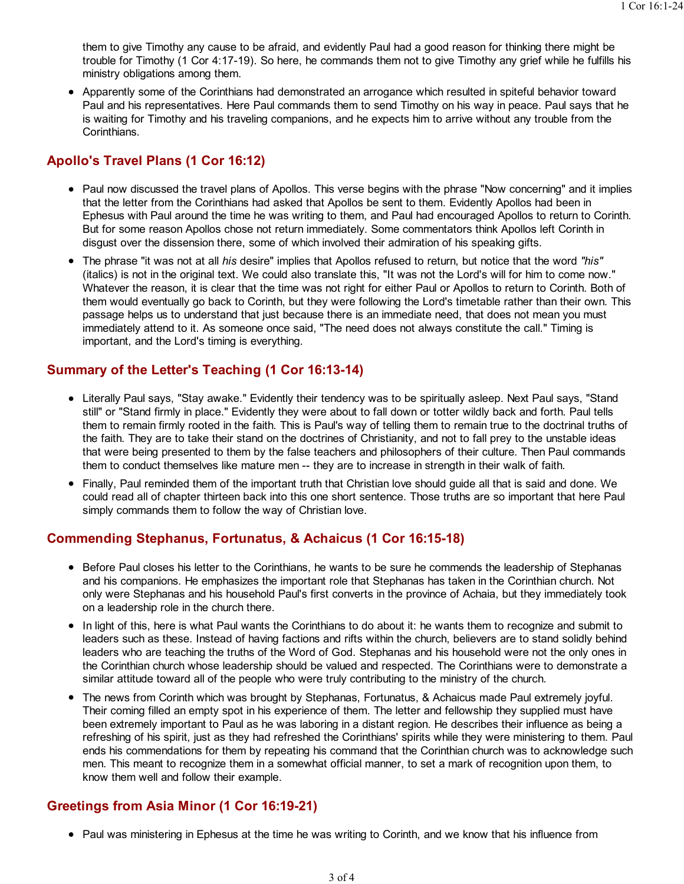them to give Timothy any cause to be afraid, and evidently Paul had a good reason for thinking there might be trouble for Timothy (1 Cor 4:17-19). So here, he commands them not to give Timothy any grief while he fulfills his ministry obligations among them.

Apparently some of the Corinthians had demonstrated an arrogance which resulted in spiteful behavior toward Paul and his representatives. Here Paul commands them to send Timothy on his way in peace. Paul says that he is waiting for Timothy and his traveling companions, and he expects him to arrive without any trouble from the Corinthians.

# Apollo's Travel Plans (1 Cor 16:12)

- Paul now discussed the travel plans of Apollos. This verse begins with the phrase "Now concerning" and it implies that the letter from the Corinthians had asked that Apollos be sent to them. Evidently Apollos had been in Ephesus with Paul around the time he was writing to them, and Paul had encouraged Apollos to return to Corinth. But for some reason Apollos chose not return immediately. Some commentators think Apollos left Corinth in disgust over the dissension there, some of which involved their admiration of his speaking gifts.
- The phrase "it was not at all his desire" implies that Apollos refused to return, but notice that the word "his" (italics) is not in the original text. We could also translate this, "It was not the Lord's will for him to come now." Whatever the reason, it is clear that the time was not right for either Paul or Apollos to return to Corinth. Both of them would eventually go back to Corinth, but they were following the Lord's timetable rather than their own. This passage helps us to understand that just because there is an immediate need, that does not mean you must immediately attend to it. As someone once said, "The need does not always constitute the call." Timing is important, and the Lord's timing is everything.

#### Summary of the Letter's Teaching (1 Cor 16:13-14)

- Literally Paul says, "Stay awake." Evidently their tendency was to be spiritually asleep. Next Paul says, "Stand still" or "Stand firmly in place." Evidently they were about to fall down or totter wildly back and forth. Paul tells them to remain firmly rooted in the faith. This is Paul's way of telling them to remain true to the doctrinal truths of the faith. They are to take their stand on the doctrines of Christianity, and not to fall prey to the unstable ideas that were being presented to them by the false teachers and philosophers of their culture. Then Paul commands them to conduct themselves like mature men -- they are to increase in strength in their walk of faith.
- Finally, Paul reminded them of the important truth that Christian love should guide all that is said and done. We could read all of chapter thirteen back into this one short sentence. Those truths are so important that here Paul simply commands them to follow the way of Christian love.

#### Commending Stephanus, Fortunatus, & Achaicus (1 Cor 16:15-18)

- Before Paul closes his letter to the Corinthians, he wants to be sure he commends the leadership of Stephanas and his companions. He emphasizes the important role that Stephanas has taken in the Corinthian church. Not only were Stephanas and his household Paul's first converts in the province of Achaia, but they immediately took on a leadership role in the church there.
- In light of this, here is what Paul wants the Corinthians to do about it: he wants them to recognize and submit to leaders such as these. Instead of having factions and rifts within the church, believers are to stand solidly behind leaders who are teaching the truths of the Word of God. Stephanas and his household were not the only ones in the Corinthian church whose leadership should be valued and respected. The Corinthians were to demonstrate a similar attitude toward all of the people who were truly contributing to the ministry of the church.
- The news from Corinth which was brought by Stephanas, Fortunatus, & Achaicus made Paul extremely joyful. Their coming filled an empty spot in his experience of them. The letter and fellowship they supplied must have been extremely important to Paul as he was laboring in a distant region. He describes their influence as being a refreshing of his spirit, just as they had refreshed the Corinthians' spirits while they were ministering to them. Paul ends his commendations for them by repeating his command that the Corinthian church was to acknowledge such men. This meant to recognize them in a somewhat official manner, to set a mark of recognition upon them, to know them well and follow their example.

# Greetings from Asia Minor (1 Cor 16:19-21)

• Paul was ministering in Ephesus at the time he was writing to Corinth, and we know that his influence from